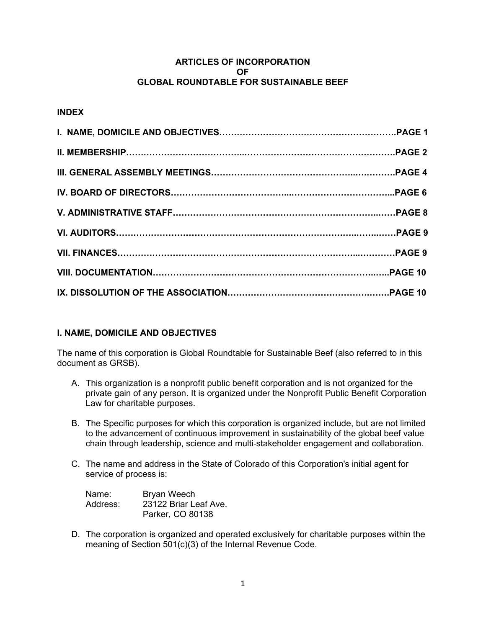### **ARTICLES OF INCORPORATION OF GLOBAL ROUNDTABLE FOR SUSTAINABLE BEEF**

# **INDEX**

# **I. NAME, DOMICILE AND OBJECTIVES**

The name of this corporation is Global Roundtable for Sustainable Beef (also referred to in this document as GRSB).

- A. This organization is a nonprofit public benefit corporation and is not organized for the private gain of any person. It is organized under the Nonprofit Public Benefit Corporation Law for charitable purposes.
- B. The Specific purposes for which this corporation is organized include, but are not limited to the advancement of continuous improvement in sustainability of the global beef value chain through leadership, science and multi‐stakeholder engagement and collaboration.
- C. The name and address in the State of Colorado of this Corporation's initial agent for service of process is:

| Name:    | <b>Bryan Weech</b>    |  |  |
|----------|-----------------------|--|--|
| Address: | 23122 Briar Leaf Ave. |  |  |
|          | Parker, CO 80138      |  |  |

D. The corporation is organized and operated exclusively for charitable purposes within the meaning of Section 501(c)(3) of the Internal Revenue Code.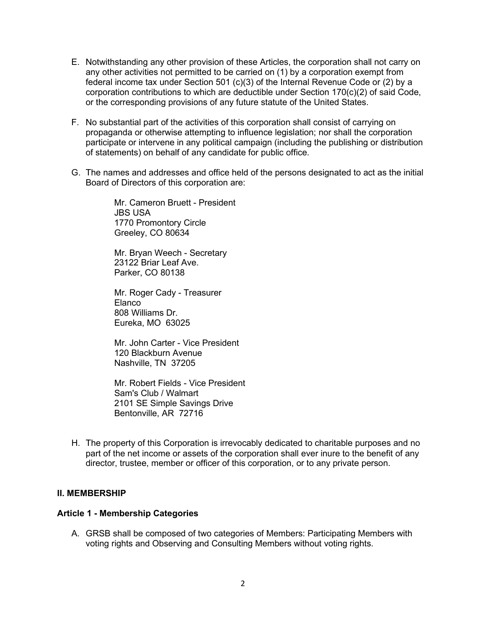- E. Notwithstanding any other provision of these Articles, the corporation shall not carry on any other activities not permitted to be carried on (1) by a corporation exempt from federal income tax under Section 501 (c)(3) of the Internal Revenue Code or (2) by a corporation contributions to which are deductible under Section 170(c)(2) of said Code, or the corresponding provisions of any future statute of the United States.
- F. No substantial part of the activities of this corporation shall consist of carrying on propaganda or otherwise attempting to influence legislation; nor shall the corporation participate or intervene in any political campaign (including the publishing or distribution of statements) on behalf of any candidate for public office.
- G. The names and addresses and office held of the persons designated to act as the initial Board of Directors of this corporation are:

Mr. Cameron Bruett - President JBS USA 1770 Promontory Circle Greeley, CO 80634

Mr. Bryan Weech - Secretary 23122 Briar Leaf Ave. Parker, CO 80138

Mr. Roger Cady - Treasurer Elanco 808 Williams Dr. Eureka, MO 63025

Mr. John Carter - Vice President 120 Blackburn Avenue Nashville, TN 37205

Mr. Robert Fields - Vice President Sam's Club / Walmart 2101 SE Simple Savings Drive Bentonville, AR 72716

H. The property of this Corporation is irrevocably dedicated to charitable purposes and no part of the net income or assets of the corporation shall ever inure to the benefit of any director, trustee, member or officer of this corporation, or to any private person.

#### **II. MEMBERSHIP**

#### **Article 1 - Membership Categories**

A. GRSB shall be composed of two categories of Members: Participating Members with voting rights and Observing and Consulting Members without voting rights.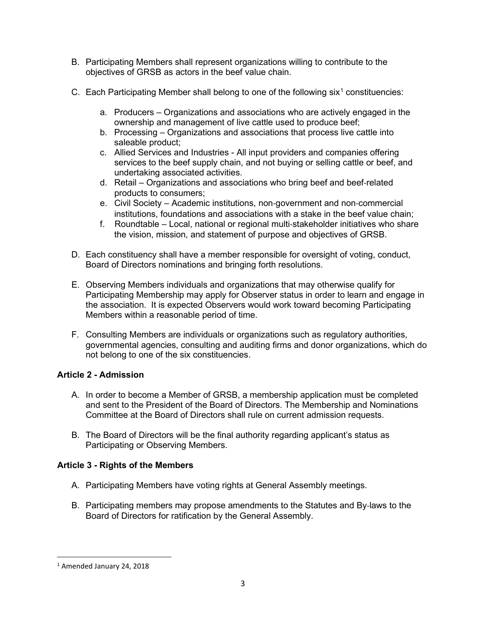- B. Participating Members shall represent organizations willing to contribute to the objectives of GRSB as actors in the beef value chain.
- C. Each Participating Member shall belong to one of the following six<sup>[1](#page-2-0)</sup> constituencies:
	- a. Producers Organizations and associations who are actively engaged in the ownership and management of live cattle used to produce beef;
	- b. Processing Organizations and associations that process live cattle into saleable product;
	- c. Allied Services and Industries All input providers and companies offering services to the beef supply chain, and not buying or selling cattle or beef, and undertaking associated activities.
	- d. Retail Organizations and associations who bring beef and beef‐related products to consumers;
	- e. Civil Society Academic institutions, non‐government and non‐commercial institutions, foundations and associations with a stake in the beef value chain;
	- f. Roundtable [–](#page-2-1) Local, national or regional multi‐stakeholder initiatives who share the vision, mission, and statement of purpose and objectives of GRSB.
- D. Each constituency shall have a member responsible for oversight of voting, conduct, Board of Directors nominations and bringing forth resolutions.
- E. Observing Members individuals and organizations that may otherwise qualify for Participating Membership may apply for Observer status in order to learn and engage in the association. It is expected Observers would work toward becoming Participating Members within a reasonable period of time.
- F. Consulting Members are individuals or organizations such as regulatory authorities, governmental agencies, consulting and auditing firms and donor organizations, which do not belong to one of the six constituencies.

# **Article 2 - Admission**

- A. In order to become a Member of GRSB, a membership application must be completed and sent to the President of the Board of Directors. The Membership and Nominations Committee at the Board of Directors shall rule on current admission requests.
- B. The Board of Directors will be the final authority regarding applicant's status as Participating or Observing Members.

# **Article 3 - Rights of the Members**

- A. Participating Members have voting rights at General Assembly meetings.
- B. Participating members may propose amendments to the Statutes and By‐laws to the Board of Directors for ratification by the General Assembly.

<span id="page-2-1"></span><span id="page-2-0"></span><sup>1</sup> Amended January 24, 2018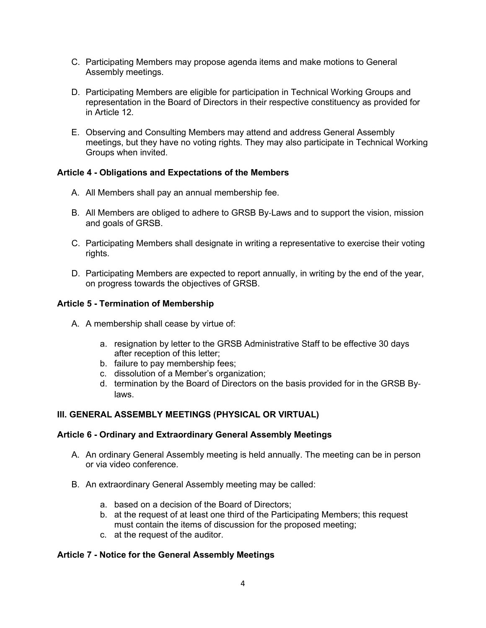- C. Participating Members may propose agenda items and make motions to General Assembly meetings.
- D. Participating Members are eligible for participation in Technical Working Groups and representation in the Board of Directors in their respective constituency as provided for in Article 12.
- E. Observing and Consulting Members may attend and address General Assembly meetings, but they have no voting rights. They may also participate in Technical Working Groups when invited.

### **Article 4 - Obligations and Expectations of the Members**

- A. All Members shall pay an annual membership fee.
- B. All Members are obliged to adhere to GRSB By‐Laws and to support the vision, mission and goals of GRSB.
- C. Participating Members shall designate in writing a representative to exercise their voting rights.
- D. Participating Members are expected to report annually, in writing by the end of the year, on progress towards the objectives of GRSB.

### **Article 5 - Termination of Membership**

- A. A membership shall cease by virtue of:
	- a. resignation by letter to the GRSB Administrative Staff to be effective 30 days after reception of this letter;
	- b. failure to pay membership fees;
	- c. dissolution of a Member's organization;
	- d. termination by the Board of Directors on the basis provided for in the GRSB By‐ laws.

### **III. GENERAL ASSEMBLY MEETINGS (PHYSICAL OR VIRTUAL)**

### **Article 6 - Ordinary and Extraordinary General Assembly Meetings**

- A. An ordinary General Assembly meeting is held annually. The meeting can be in person or via video conference.
- B. An extraordinary General Assembly meeting may be called:
	- a. based on a decision of the Board of Directors;
	- b. at the request of at least one third of the Participating Members; this request must contain the items of discussion for the proposed meeting;
	- c. at the request of the auditor.

### **Article 7 - Notice for the General Assembly Meetings**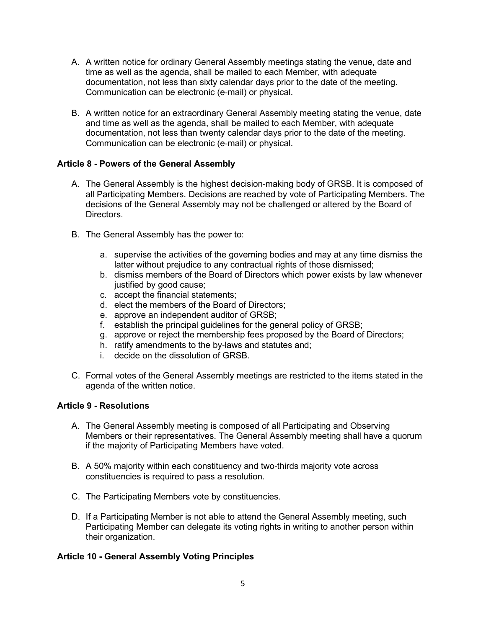- A. A written notice for ordinary General Assembly meetings stating the venue, date and time as well as the agenda, shall be mailed to each Member, with adequate documentation, not less than sixty calendar days prior to the date of the meeting. Communication can be electronic (e‐mail) or physical.
- B. A written notice for an extraordinary General Assembly meeting stating the venue, date and time as well as the agenda, shall be mailed to each Member, with adequate documentation, not less than twenty calendar days prior to the date of the meeting. Communication can be electronic (e‐mail) or physical.

### **Article 8 - Powers of the General Assembly**

- A. The General Assembly is the highest decision‐making body of GRSB. It is composed of all Participating Members. Decisions are reached by vote of Participating Members. The decisions of the General Assembly may not be challenged or altered by the Board of Directors.
- B. The General Assembly has the power to:
	- a. supervise the activities of the governing bodies and may at any time dismiss the latter without prejudice to any contractual rights of those dismissed;
	- b. dismiss members of the Board of Directors which power exists by law whenever justified by good cause;
	- c. accept the financial statements;
	- d. elect the members of the Board of Directors;
	- e. approve an independent auditor of GRSB;
	- f. establish the principal guidelines for the general policy of GRSB;
	- g. approve or reject the membership fees proposed by the Board of Directors;
	- h. ratify amendments to the by-laws and statutes and;
	- i. decide on the dissolution of GRSB.
- C. Formal votes of the General Assembly meetings are restricted to the items stated in the agenda of the written notice.

### **Article 9 - Resolutions**

- A. The General Assembly meeting is composed of all Participating and Observing Members or their representatives. The General Assembly meeting shall have a quorum if the majority of Participating Members have voted.
- B. A 50% majority within each constituency and two‐thirds majority vote across constituencies is required to pass a resolution.
- C. The Participating Members vote by constituencies.
- D. If a Participating Member is not able to attend the General Assembly meeting, such Participating Member can delegate its voting rights in writing to another person within their organization.

# **Article 10 - General Assembly Voting Principles**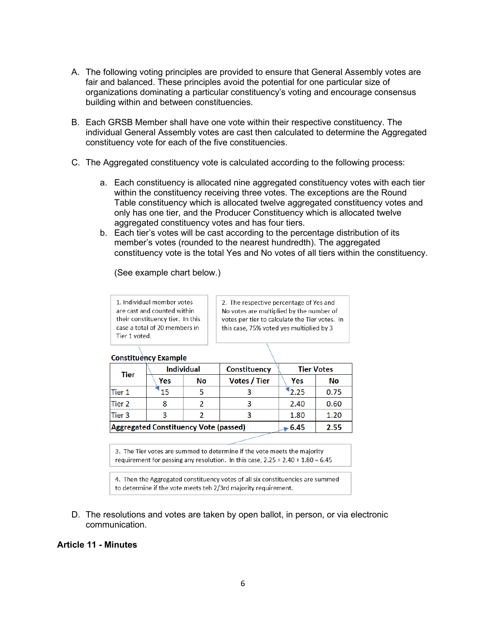- A. The following voting principles are provided to ensure that General Assembly votes are fair and balanced. These principles avoid the potential for one particular size of organizations dominating a particular constituency's voting and encourage consensus building within and between constituencies.
- B. Each GRSB Member shall have one vote within their respective constituency. The individual General Assembly votes are cast then calculated to determine the Aggregated constituency vote for each of the five constituencies.
- C. The Aggregated constituency vote is calculated according to the following process:
	- a. Each constituency is allocated nine aggregated constituency votes with each tier within the constituency receiving three votes. The exceptions are the Round Table constituency which is allocated twelve aggregated constituency votes and only has one tier, and the Producer Constituency [w](#page-5-0)hich is allocated twelve aggregated constituency votes and has four tiers.
	- b. Each tier's votes will be cast according to the percentage distribution of its member's votes (rounded to the nearest hundredth). The aggregated constituency vote is the total Yes and No votes of all tiers within the constituency.

(See example chart below.)

1. Individual member votes are cast and counted within their constituency tier. In this case a total of 20 members in Tier 1 voted.

2. The respective percentage of Yes and No votes are multiplied by the number of votes per tier to calculate the Tier votes. In this case, 75% voted yes multiplied by 3

#### **Constituency Example**

| Tier                                         | <b>Individual</b> |    | Constituency        | <b>Tier Votes</b> |      |
|----------------------------------------------|-------------------|----|---------------------|-------------------|------|
|                                              | Yes               | No | <b>Votes / Tier</b> | Yes               | No   |
| lTier 1                                      |                   |    |                     | 2.25              | 0.75 |
| Tier 2                                       |                   |    |                     | 2.40              | 0.60 |
| Tier 3                                       |                   |    |                     | 1.80              | 1.20 |
| <b>Aggregated Constituency Vote (passed)</b> |                   |    | 6.45                | 2.55              |      |

3. The Tier votes are summed to determine if the vote meets the majority requirement for passing any resolution. In this case,  $2.25 + 2.40 + 1.80 = 6.45$ 

4. Then the Aggregated constituency votes of all six constituencies are summed to determine if the vote meets teh 2/3rd majority requirement.

D. The resolutions and votes are taken by open ballot, in person, or via electronic communication.

#### <span id="page-5-0"></span>**Article 11 - Minutes**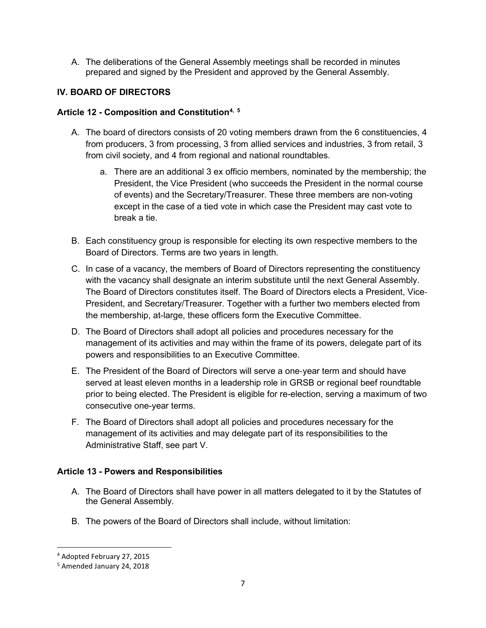A. The deliberations of the General Assembly meetings shall be recorded in minutes prepared and signed by the President and approved by the General Assembly.

# **IV. BOARD OF DIRECTORS**

### **Article 12 - Composition and Constitutio[n4](#page-6-0), [5](#page-6-1)**

- A. The board of directors consists of 20 voting members drawn from the 6 constituencies, 4 from producers, 3 from processing, 3 from allied services and industries, 3 from retail, 3 from civil society, and 4 from regional and national roundtables.
	- a. There are an additional 3 ex officio members, nominated by the membership; the President, the Vice President (who succeeds the President in the normal course of events) and the Secretary/Treasurer. These three members are non-voting except in the case of a tied vote in which case the President may cast vote to break a tie.
- B. Each constituency group is responsible for electing its own respective members to the Board of Directors. Terms are two years in length.
- C. In case of a vacancy, the members of Board of Directors representing the constituency with the vacancy shall designate an interim substitute until the next General Assembly. The Board of Directors constitutes itself. The Board of Directors elects a President, Vice‐ President, and Secretary/Treasurer. Together with a further two members elected from the membership, at-large, these officers form the Executive Committee.
- D. The Board of Directors shall adopt all policies and procedures necessary for the management of its activities and may within the frame of its powers, delegate part of its powers and responsibilities to an Executive Committee.
- E. The President of the Board of Directors will serve a one‐year term and should have served at least eleven months in a leadership role in GRSB or regional beef roundtable prior to being elected. The President is eligible for re-election, serving a maximum of two consecutive one-year terms.
- F. The Board of Directors shall adopt all policies and procedures necessary for the management of its activities and may delegate part of its responsibilities to the Administrative Staff, see part V.

# **Article 13 - Powers and Responsibilities**

- A. The Board of Directors shall have power in all matters delegated to it by the Statutes of the General Assembly.
- B. The powers of the Board of Directors shall include, without limitation:

<span id="page-6-0"></span><sup>4</sup> Adopted February 27, 2015

<span id="page-6-1"></span><sup>5</sup> Amended January 24, 2018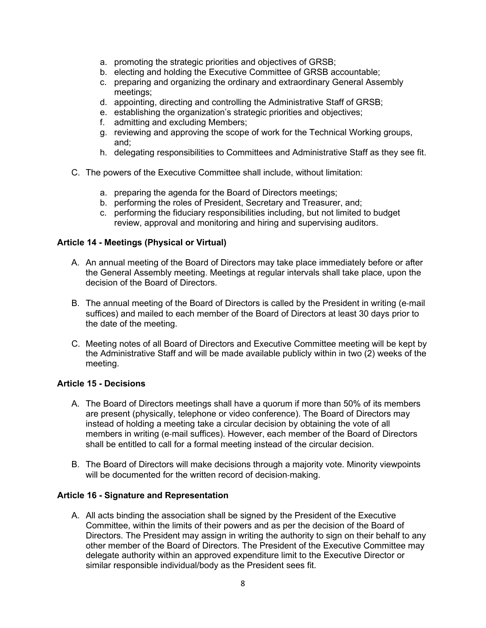- a. promoting the strategic priorities and objectives of GRSB;
- b. electing and holding the Executive Committee of GRSB accountable;
- c. preparing and organizing the ordinary and extraordinary General Assembly meetings;
- d. appointing, directing and controlling the Administrative Staff of GRSB;
- e. establishing the organization's strategic priorities and objectives;
- f. admitting and excluding Members;
- g. reviewing and approving the scope of work for the Technical Working groups, and;
- h. delegating responsibilities to Committees and Administrative Staff as they see fit.
- C. The powers of the Executive Committee shall include, without limitation:
	- a. preparing the agenda for the Board of Directors meetings;
	- b. performing the roles of President, Secretary and Treasurer, and;
	- c. performing the fiduciary responsibilities including, but not limited to budget review, approval and monitoring and hiring and supervising auditors.

#### **Article 14 - Meetings (Physical or Virtual)**

- A. An annual meeting of the Board of Directors may take place immediately before or after the General Assembly meeting. Meetings at regular intervals shall take place, upon the decision of the Board of Directors.
- B. The annual meeting of the Board of Directors is called by the President in writing (e‐mail suffices) and mailed to each member of the Board of Directors at least 30 days prior to the date of the meeting.
- C. Meeting notes of all Board of Directors and Executive Committee meeting will be kept by the Administrative Staff and will be made available publicly within in two (2) weeks of the meeting.

### **Article 15 - Decisions**

- A. The Board of Directors meetings shall have a quorum if more than 50% of its members are present (physically, telephone or video conference). The Board of Directors may instead of holding a meeting take a circular decision by obtaining the vote of all members in writing (e‐mail suffices). However, each member of the Board of Directors shall be entitled to call for a formal meeting instead of the circular decision.
- B. The Board of Directors will make decisions through a majority vote. Minority viewpoints will be documented for the written record of decision-making.

### **Article 16 - Signature and Representation**

A. All acts binding the association shall be signed by the President of the Executive Committee, within the limits of their powers and as per the decision of the Board of Directors. The President may assign in writing the authority to sign on their behalf to any other member of the Board of Directors. The President of the Executive Committee may delegate authority within an approved expenditure limit to the Executive Director or similar responsible individual/body as the President sees fit.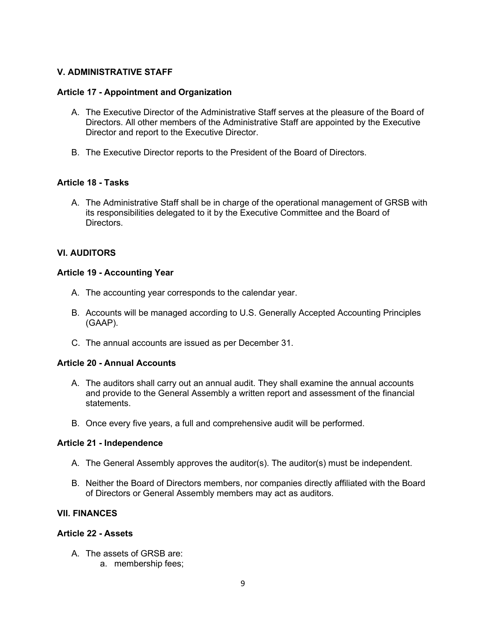### **V. ADMINISTRATIVE STAFF**

#### **Article 17 - Appointment and Organization**

- A. The Executive Director of the Administrative Staff serves at the pleasure of the Board of Directors. All other members of the Administrative Staff are appointed by the Executive Director and report to the Executive Director.
- B. The Executive Director reports to the President of the Board of Directors.

### **Article 18 - Tasks**

A. The Administrative Staff shall be in charge of the operational management of GRSB with its responsibilities delegated to it by the Executive Committee and the Board of Directors.

### **VI. AUDITORS**

#### **Article 19 - Accounting Year**

- A. The accounting year corresponds to the calendar year.
- B. Accounts will be managed according to U.S. Generally Accepted Accounting Principles (GAAP).
- C. The annual accounts are issued as per December 31.

#### **Article 20 - Annual Accounts**

- A. The auditors shall carry out an annual audit. They shall examine the annual accounts and provide to the General Assembly a written report and assessment of the financial statements.
- B. Once every five years, a full and comprehensive audit will be performed.

#### **Article 21 - Independence**

- A. The General Assembly approves the auditor(s). The auditor(s) must be independent.
- B. Neither the Board of Directors members, nor companies directly affiliated with the Board of Directors or General Assembly members may act as auditors.

### **VII. FINANCES**

### **Article 22 - Assets**

- A. The assets of GRSB are:
	- a. membership fees;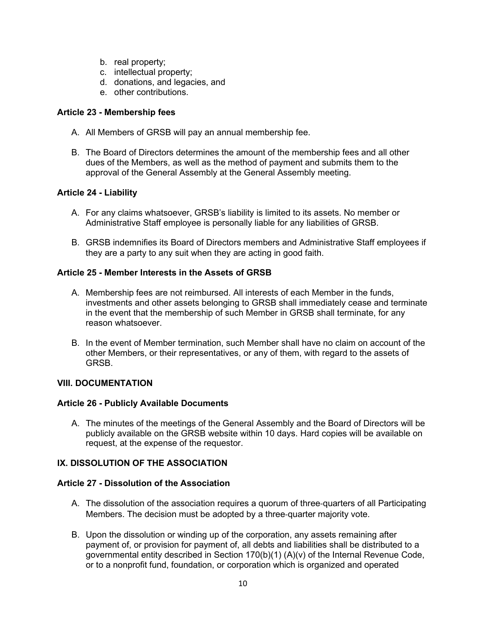- b. real property;
- c. intellectual property;
- d. donations, and legacies, and
- e. other contributions.

### **Article 23 - Membership fees**

- A. All Members of GRSB will pay an annual membership fee.
- B. The Board of Directors determines the amount of the membership fees and all other dues of the Members, as well as the method of payment and submits them to the approval of the General Assembly at the General Assembly meeting.

# **Article 24 - Liability**

- A. For any claims whatsoever, GRSB's liability is limited to its assets. No member or Administrative Staff employee is personally liable for any liabilities of GRSB.
- B. GRSB indemnifies its Board of Directors members and Administrative Staff employees if they are a party to any suit when they are acting in good faith.

# **Article 25 - Member Interests in the Assets of GRSB**

- A. Membership fees are not reimbursed. All interests of each Member in the funds, investments and other assets belonging to GRSB shall immediately cease and terminate in the event that the membership of such Member in GRSB shall terminate, for any reason whatsoever.
- B. In the event of Member termination, such Member shall have no claim on account of the other Members, or their representatives, or any of them, with regard to the assets of GRSB.

### **VIII. DOCUMENTATION**

### **Article 26 - Publicly Available Documents**

A. The minutes of the meetings of the General Assembly and the Board of Directors will be publicly available on the GRSB website within 10 days. Hard copies will be available on request, at the expense of the requestor.

# **IX. DISSOLUTION OF THE ASSOCIATION**

### **Article 27 - Dissolution of the Association**

- A. The dissolution of the association requires a quorum of three‐quarters of all Participating Members. The decision must be adopted by a three‐quarter majority vote.
- B. Upon the dissolution or winding up of the corporation, any assets remaining after payment of, or provision for payment of, all debts and liabilities shall be distributed to a governmental entity described in Section 170(b)(1) (A)(v) of the Internal Revenue Code, or to a nonprofit fund, foundation, or corporation which is organized and operated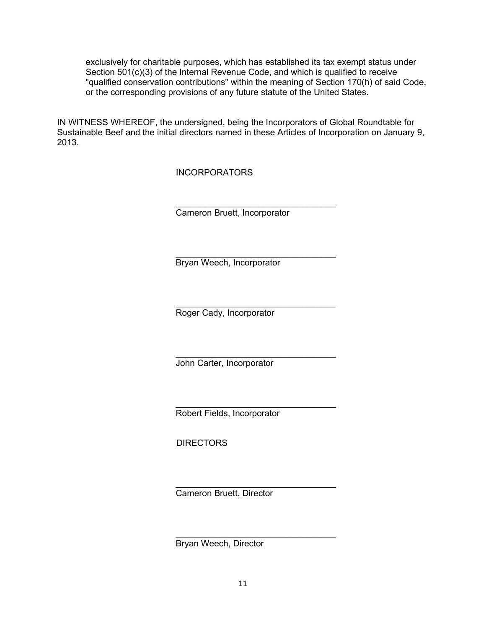exclusively for charitable purposes, which has established its tax exempt status under Section 501(c)(3) of the Internal Revenue Code, and which is qualified to receive "qualified conservation contributions" within the meaning of Section 170(h) of said Code, or the corresponding provisions of any future statute of the United States.

IN WITNESS WHEREOF, the undersigned, being the Incorporators of Global Roundtable for Sustainable Beef and the initial directors named in these Articles of Incorporation on January 9, 2013.

INCORPORATORS

 $\_$ Cameron Bruett, Incorporator

\_\_\_\_\_\_\_\_\_\_\_\_\_\_\_\_\_\_\_\_\_\_\_\_\_\_\_\_\_\_\_\_\_ Bryan Weech, Incorporator

 $\_$ Roger Cady, Incorporator

 $\_$ John Carter, Incorporator

\_\_\_\_\_\_\_\_\_\_\_\_\_\_\_\_\_\_\_\_\_\_\_\_\_\_\_\_\_\_\_\_\_ Robert Fields, Incorporator

**DIRECTORS** 

 $\_$ Cameron Bruett, Director

\_\_\_\_\_\_\_\_\_\_\_\_\_\_\_\_\_\_\_\_\_\_\_\_\_\_\_\_\_\_\_\_\_ Bryan Weech, Director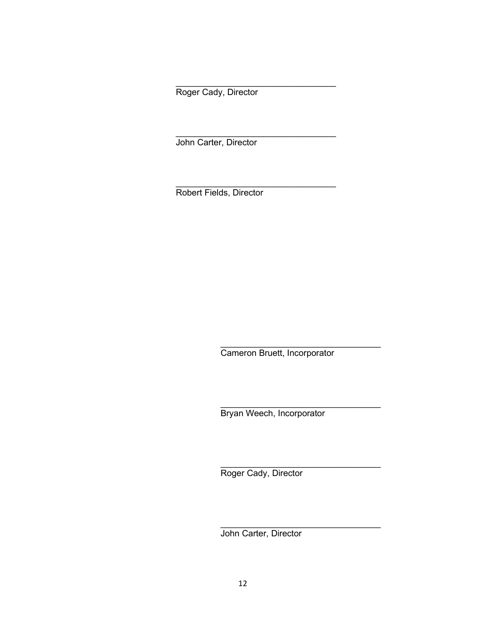Roger Cady, Director

\_\_\_\_\_\_\_\_\_\_\_\_\_\_\_\_\_\_\_\_\_\_\_\_\_\_\_\_\_\_\_\_\_

 $\_$ 

\_\_\_\_\_\_\_\_\_\_\_\_\_\_\_\_\_\_\_\_\_\_\_\_\_\_\_\_\_\_\_\_\_

John Carter, Director

Robert Fields, Director

Cameron Bruett, Incorporator

\_\_\_\_\_\_\_\_\_\_\_\_\_\_\_\_\_\_\_\_\_\_\_\_\_\_\_\_\_\_\_\_\_

\_\_\_\_\_\_\_\_\_\_\_\_\_\_\_\_\_\_\_\_\_\_\_\_\_\_\_\_\_\_\_\_\_

\_\_\_\_\_\_\_\_\_\_\_\_\_\_\_\_\_\_\_\_\_\_\_\_\_\_\_\_\_\_\_\_\_

\_\_\_\_\_\_\_\_\_\_\_\_\_\_\_\_\_\_\_\_\_\_\_\_\_\_\_\_\_\_\_\_\_

Bryan Weech, Incorporator

Roger Cady, Director

John Carter, Director